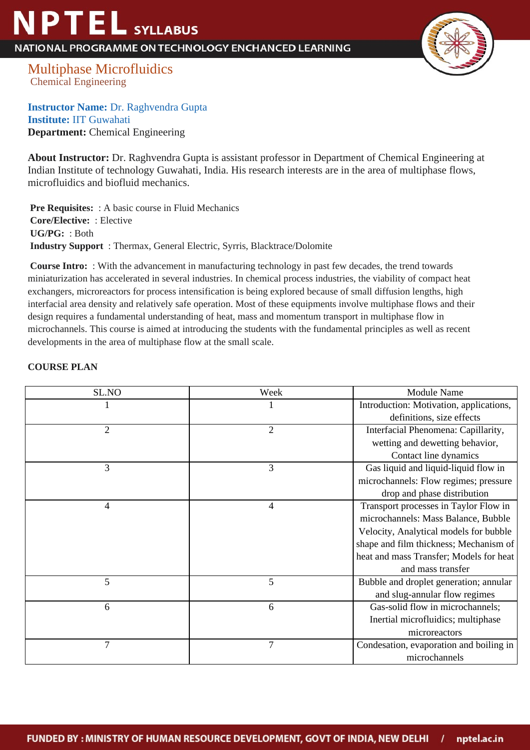## **NPTEL** SYLLABUS

NATIONAL PROGRAMME ON TECHNOLOGY ENCHANCED LEARNING



Multiphase Microfluidics Chemical Engineering

**Instructor Name:** Dr. Raghvendra Gupta **Institute:** IIT Guwahati **Department:** Chemical Engineering

**About Instructor:** Dr. Raghvendra Gupta is assistant professor in Department of Chemical Engineering at Indian Institute of technology Guwahati, India. His research interests are in the area of multiphase flows, microfluidics and biofluid mechanics.

**Pre Requisites:** : A basic course in Fluid Mechanics  **Core/Elective:** : Elective  **UG/PG:** : Both  **Industry Support** : Thermax, General Electric, Syrris, Blacktrace/Dolomite

 **Course Intro:** : With the advancement in manufacturing technology in past few decades, the trend towards miniaturization has accelerated in several industries. In chemical process industries, the viability of compact heat exchangers, microreactors for process intensification is being explored because of small diffusion lengths, high interfacial area density and relatively safe operation. Most of these equipments involve multiphase flows and their design requires a fundamental understanding of heat, mass and momentum transport in multiphase flow in microchannels. This course is aimed at introducing the students with the fundamental principles as well as recent developments in the area of multiphase flow at the small scale.

## **COURSE PLAN**

| SL.NO          | Week           | <b>Module Name</b>                      |
|----------------|----------------|-----------------------------------------|
|                |                | Introduction: Motivation, applications, |
|                |                | definitions, size effects               |
| $\overline{c}$ | $\overline{2}$ | Interfacial Phenomena: Capillarity,     |
|                |                | wetting and dewetting behavior,         |
|                |                | Contact line dynamics                   |
| 3              | 3              | Gas liquid and liquid-liquid flow in    |
|                |                | microchannels: Flow regimes; pressure   |
|                |                | drop and phase distribution             |
| 4              | 4              | Transport processes in Taylor Flow in   |
|                |                | microchannels: Mass Balance, Bubble     |
|                |                | Velocity, Analytical models for bubble  |
|                |                | shape and film thickness; Mechanism of  |
|                |                | heat and mass Transfer; Models for heat |
|                |                | and mass transfer                       |
| 5              | 5              | Bubble and droplet generation; annular  |
|                |                | and slug-annular flow regimes           |
| 6              | 6              | Gas-solid flow in microchannels;        |
|                |                | Inertial microfluidics; multiphase      |
|                |                | microreactors                           |
| 7              | 7              | Condesation, evaporation and boiling in |
|                |                | microchannels                           |